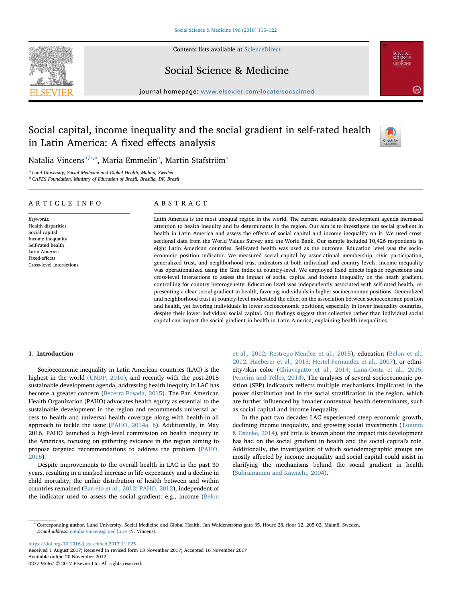

Contents lists available at [ScienceDirect](http://www.sciencedirect.com/science/journal/02779536)

# Social Science & Medicine

journal homepage: [www.elsevier.com/locate/socscimed](https://www.elsevier.com/locate/socscimed)

# Social capital, income inequality and the social gradient in self-rated health in Latin America: A fixed effects analysis



**SOCIAL**<br>SCIENCE<br>MEDICINE

 $\left( \frac{2.814}{2.814} \right)$ 

N[a](#page-0-0)talia Vincens<sup>a,[b,](#page-0-1)</sup>\*, Maria Emmelin<sup>a</sup>, Martin Stafström<sup>a</sup>

<span id="page-0-0"></span><sup>a</sup> Lund University, Social Medicine and Global Health, Malmö, Sweden

<span id="page-0-1"></span><sup>b</sup> CAPES Foundation, Ministry of Education of Brazil, Brasilia, DF, Brazil

# ARTICLE INFO

Keywords: Health disparities Social capital Income inequality Self-rated health Latin America Fixed-effects Cross-level interactions

# ABSTRACT

Latin America is the most unequal region in the world. The current sustainable development agenda increased attention to health inequity and its determinants in the region. Our aim is to investigate the social gradient in health in Latin America and assess the effects of social capital and income inequality on it. We used crosssectional data from the World Values Survey and the World Bank. Our sample included 10,426 respondents in eight Latin American countries. Self-rated health was used as the outcome. Education level was the socioeconomic position indicator. We measured social capital by associational membership, civic participation, generalized trust, and neighborhood trust indicators at both individual and country levels. Income inequality was operationalized using the Gini index at country-level. We employed fixed effects logistic regressions and cross-level interactions to assess the impact of social capital and income inequality on the heath gradient, controlling for country heterogeneity. Education level was independently associated with self-rated health, representing a clear social gradient in health, favoring individuals in higher socioeconomic positions. Generalized and neighborhood trust at country-level moderated the effect on the association between socioeconomic position and health, yet favoring individuals in lower socioeconomic positions, especially in lower inequality countries, despite their lower individual social capital. Our findings suggest that collective rather than individual social capital can impact the social gradient in health in Latin America, explaining health inequalities.

# 1. Introduction

Socioeconomic inequality in Latin American countries (LAC) is the highest in the world [\(UNDP, 2010](#page-7-0)), and recently with the post-2015 sustainable development agenda, addressing health inequity in LAC has become a greater concern ([Becerra-Posada, 2015\)](#page-6-0). The Pan American Health Organization (PAHO) advocates health equity as essential to the sustainable development in the region and recommends universal access to health and universal health coverage along with health-in-all approach to tackle the issue [\(PAHO, 2014a, b](#page-7-1)). Additionally, in May 2016, PAHO launched a high-level commission on health inequity in the Americas, focusing on gathering evidence in the region aiming to propose targeted recommendations to address the problem ([PAHO,](#page-7-2) [2016\)](#page-7-2).

Despite improvements to the overall health in LAC in the past 30 years, resulting in a marked increase in life expectancy and a decline in child mortality, the unfair distribution of health between and within countries remained ([Barreto et al., 2012; PAHO, 2012](#page-6-1)), independent of the indicator used to assess the social gradient: e.g., income ([Belon](#page-6-2)

[et al., 2012; Restrepo-Mendez et al., 2015\)](#page-6-2), education ([Belon et al.,](#page-6-2) [2012; Haeberer et al., 2015; Hertel-Fernandez et al., 2007](#page-6-2)), or ethnicity/skin color [\(Chiavegatto et al., 2014; Lima-Costa et al., 2015;](#page-6-3) [Perreira and Telles, 2014](#page-6-3)). The analyses of several socioeconomic position (SEP) indicators reflects multiple mechanisms implicated in the power distribution and in the social stratification in the region, which are further influenced by broader contextual health determinants, such as social capital and income inequality.

In the past two decades LAC experienced steep economic growth, declining income inequality, and growing social investments ([Tsounta](#page-7-3) [& Osueke, 2014](#page-7-3)), yet little is known about the impact this development has had on the social gradient in health and the social capital's role. Additionally, the investigation of which sociodemographic groups are mostly affected by income inequality and social capital could assist in clarifying the mechanisms behind the social gradient in health ([Subramanian and Kawachi, 2004\)](#page-7-4).

<https://doi.org/10.1016/j.socscimed.2017.11.025> Received 1 August 2017; Received in revised form 13 November 2017; Accepted 16 November 2017 Available online 20 November 2017

0277-9536/ © 2017 Elsevier Ltd. All rights reserved.

<span id="page-0-2"></span><sup>∗</sup> Corresponding author. Lund University, Social Medicine and Global Health, Jan Waldenströms gata 35, House 28, floor 12, 205 02, Malmö, Sweden. E-mail address: [natalia.vincens@med.lu.se](mailto:natalia.vincens@med.lu.se) (N. Vincens).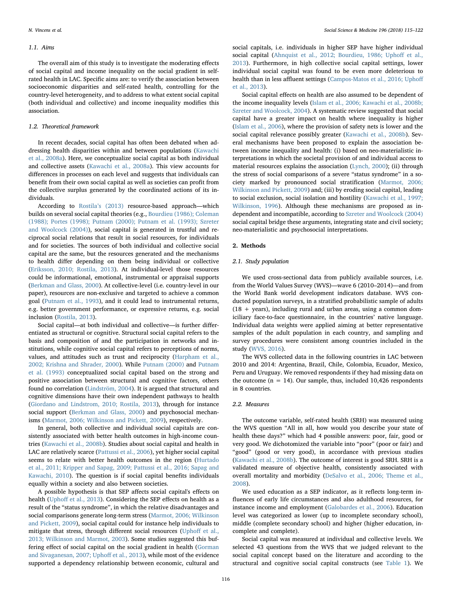## 1.1. Aims

The overall aim of this study is to investigate the moderating effects of social capital and income inequality on the social gradient in selfrated health in LAC. Specific aims are: to verify the association between socioeconomic disparities and self-rated health, controlling for the country-level heterogeneity, and to address to what extent social capital (both individual and collective) and income inequality modifies this association.

## 1.2. Theoretical framework

In recent decades, social capital has often been debated when addressing health disparities within and between populations ([Kawachi](#page-7-5) [et al., 2008a](#page-7-5)). Here, we conceptualize social capital as both individual and collective assets ([Kawachi et al., 2008a](#page-7-5)). This view accounts for differences in processes on each level and suggests that individuals can benefit from their own social capital as well as societies can profit from the collective surplus generated by the coordinated actions of its individuals.

According to Rostila'[s \(2013\)](#page-7-6) resource-based approach—which builds on several social capital theories (e.g., [Bourdieu \(1986\); Coleman](#page-6-4) [\(1988\); Portes \(1998\); Putnam \(2000\); Putnam et al. \(1993\); Szreter](#page-6-4) [and Woolcock \(2004\)](#page-6-4)), social capital is generated in trustful and reciprocal social relations that result in social resources, for individuals and for societies. The sources of both individual and collective social capital are the same, but the resources generated and the mechanisms to health differ depending on them being individual or collective ([Eriksson, 2010; Rostila, 2013\)](#page-6-5). At individual-level those resources could be informational, emotional, instrumental or appraisal supports ([Berkman and Glass, 2000](#page-6-6)). At collective-level (i.e. country-level in our paper), resources are non-exclusive and targeted to achieve a common goal ([Putnam et al., 1993](#page-7-7)), and it could lead to instrumental returns, e.g. better government performance, or expressive returns, e.g. social inclusion [\(Rostila, 2013](#page-7-6)).

Social capital—at both individual and collective—is further differentiated as structural or cognitive. Structural social capital refers to the basis and composition of and the participation in networks and institutions, while cognitive social capital refers to perceptions of norms, values, and attitudes such as trust and reciprocity [\(Harpham et al.,](#page-7-8) [2002; Krishna and Shrader, 2000\)](#page-7-8). While [Putnam \(2000\)](#page-7-9) and [Putnam](#page-7-7) [et al. \(1993\)](#page-7-7) conceptualized social capital based on the strong and positive association between structural and cognitive factors, others found no correlation [\(Lindström, 2004\)](#page-7-10). It is argued that structural and cognitive dimensions have their own independent pathways to health ([Giordano and Lindstrom, 2010; Rostila, 2013](#page-6-7)), through for instance social support [\(Berkman and Glass, 2000\)](#page-6-6) and psychosocial mechanisms ([Marmot, 2006; Wilkinson and Pickett, 2009](#page-7-11)), respectively.

In general, both collective and individual social capitals are consistently associated with better health outcomes in high-income countries [\(Kawachi et al., 2008b](#page-7-12)). Studies about social capital and health in LAC are relatively scarce [\(Pattussi et al., 2006](#page-7-13)), yet higher social capital seems to relate with better health outcomes in the region [\(Hurtado](#page-7-14) [et al., 2011; Kripper and Sapag, 2009; Pattussi et al., 2016; Sapag and](#page-7-14) [Kawachi, 2010](#page-7-14)). The question is if social capital benefits individuals equally within a society and also between societies.

A possible hypothesis is that SEP affects social capital's effects on health (Uphoff [et al., 2013](#page-7-15)). Considering the SEP effects on health as a result of the "status syndrome", in which the relative disadvantages and social comparisons generate long-term stress ([Marmot, 2006; Wilkinson](#page-7-11) [and Pickett, 2009](#page-7-11)), social capital could for instance help individuals to mitigate that stress, through different social resources (Uphoff [et al.,](#page-7-15) [2013; Wilkinson and Marmot, 2003](#page-7-15)). Some studies suggested this buffering effect of social capital on the social gradient in health [\(Gorman](#page-7-16) [and Sivaganesan, 2007; Upho](#page-7-16)ff et al., 2013), while most of the evidence supported a dependency relationship between economic, cultural and

social capitals, i.e. individuals in higher SEP have higher individual social capital [\(Ahnquist et al., 2012; Bourdieu, 1986; Upho](#page-6-8)ff et al., [2013\)](#page-6-8). Furthermore, in high collective social capital settings, lower individual social capital was found to be even more deleterious to health than in less affluent settings ([Campos-Matos et al., 2016; Upho](#page-6-9)ff [et al., 2013](#page-6-9)).

Social capital effects on health are also assumed to be dependent of the income inequality levels ([Islam et al., 2006; Kawachi et al., 2008b;](#page-7-17) [Szreter and Woolcock, 2004](#page-7-17)). A systematic review suggested that social capital have a greater impact on health where inequality is higher ([Islam et al., 2006](#page-7-17)), where the provision of safety nets is lower and the social capital relevance possibly greater ([Kawachi et al., 2008b\)](#page-7-12). Several mechanisms have been proposed to explain the association between income inequality and health: (i) based on neo-materialistic interpretations in which the societal provision of and individual access to material resources explains the association [\(Lynch, 2000](#page-7-18)); (ii) through the stress of social comparisons of a severe "status syndrome" in a society marked by pronounced social stratification ([Marmot, 2006;](#page-7-11) [Wilkinson and Pickett, 2009](#page-7-11)) and; (iii) by eroding social capital, leading to social exclusion, social isolation and hostility [\(Kawachi et al., 1997;](#page-7-19) [Wilkinson, 1996\)](#page-7-19). Although these mechanisms are proposed as independent and incompatible, according to Szreter [and Woolcock \(2004\)](#page-7-20) social capital bridge these arguments, integrating state and civil society; neo-materialistic and psychosocial interpretations.

#### 2. Methods

### 2.1. Study population

We used cross-sectional data from publicly available sources, i.e. from the World Values Survey (WVS)—wave 6 (2010–2014)—and from the World Bank world development indicators database. WVS conducted population surveys, in a stratified probabilistic sample of adults  $(18 + \text{years})$ , including rural and urban areas, using a common domiciliary face-to-face questionnaire, in the countries' native language. Individual data weights were applied aiming at better representative samples of the adult population in each country, and sampling and survey procedures were consistent among countries included in the study [\(WVS, 2016](#page-7-21)).

The WVS collected data in the following countries in LAC between 2010 and 2014: Argentina, Brazil, Chile, Colombia, Ecuador, Mexico, Peru and Uruguay. We removed respondents if they had missing data on the outcome ( $n = 14$ ). Our sample, thus, included 10,426 respondents in 8 countries.

## 2.2. Measures

The outcome variable, self-rated health (SRH) was measured using the WVS question "All in all, how would you describe your state of health these days?" which had 4 possible answers: poor, fair, good or very good. We dichotomized the variable into "poor" (poor or fair) and "good" (good or very good), in accordance with previous studies ([Kawachi et al., 2008b\)](#page-7-12). The outcome of interest is good SRH. SRH is a validated measure of objective health, consistently associated with overall mortality and morbidity ([DeSalvo et al., 2006; Theme et al.,](#page-6-10) [2008\)](#page-6-10).

We used education as a SEP indicator, as it reflects long-term influences of early life circumstances and also adulthood resources, for instance income and employment ([Galobardes et al., 2006](#page-6-11)). Education level was categorized as lower (up to incomplete secondary school), middle (complete secondary school) and higher (higher education, incomplete and complete).

Social capital was measured at individual and collective levels. We selected 43 questions from the WVS that we judged relevant to the social capital concept based on the literature and according to the structural and cognitive social capital constructs (see [Table 1\)](#page-2-0). We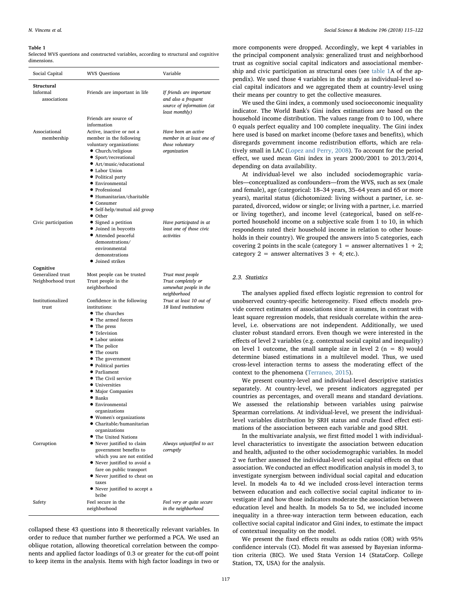<span id="page-2-0"></span>Selected WVS questions and constructed variables, according to structural and cognitive dimensions.

| Social Capital                          | <b>WVS Questions</b>                                                                                                                                                                                                                                                                                                                                                                                                           | Variable                                                                                       |  |  |
|-----------------------------------------|--------------------------------------------------------------------------------------------------------------------------------------------------------------------------------------------------------------------------------------------------------------------------------------------------------------------------------------------------------------------------------------------------------------------------------|------------------------------------------------------------------------------------------------|--|--|
| Structural<br>Informal<br>associations  | Friends are important in life                                                                                                                                                                                                                                                                                                                                                                                                  | If friends are important<br>and also a frequent<br>source of information (at<br>least monthly) |  |  |
| Associational<br>membership             | Friends are source of<br>information<br>Active, inactive or not a<br>member in the following<br>voluntary organizations:<br>• Church/religious<br>• Sport/recreational<br>● Art/music/educational<br>• Labor Union<br>• Political party<br>• Environmental<br>• Professional<br>· Humanitarian/charitable<br>$\bullet$ Consumer<br>• Self-help/mutual aid group<br>• Other                                                     | Have been an active<br>member in at least one of<br>those voluntary<br>organization            |  |  |
| Civic participation                     | • Signed a petition<br>• Joined in boycotts<br>• Attended peaceful<br>demonstrations/<br>environmental<br>demonstrations<br>• Joined strikes                                                                                                                                                                                                                                                                                   | Have participated in at<br>least one of those civic<br>activities                              |  |  |
| Cognitive                               |                                                                                                                                                                                                                                                                                                                                                                                                                                |                                                                                                |  |  |
| Generalized trust<br>Neighborhood trust | Most people can be trusted<br>Trust people in the<br>neighborhood                                                                                                                                                                                                                                                                                                                                                              | Trust most people<br>Trust completely or<br>somewhat people in the<br>neighborhood             |  |  |
| Institutionalized<br>trust              | Confidence in the following<br>institutions:<br>• The churches<br>• The armed forces<br>• The press<br>• Television<br>• Labor unions<br>• The police<br>• The courts<br>• The government<br>• Political parties<br>• Parliament<br>• The Civil service<br>• Universities<br>• Major Companies<br>$\bullet$ Banks<br>• Environmental<br>organizations<br>• Women's organizations<br>• Charitable/humanitarian<br>organizations | Trust at least 10 out of<br>18 listed institutions                                             |  |  |
| Corruption                              | • The United Nations<br>• Never justified to claim<br>government benefits to<br>which you are not entitled<br>• Never justified to avoid a<br>fare on public transport<br>• Never justified to cheat on<br>taxes<br>• Never justified to accept a<br>bribe                                                                                                                                                                     | Always unjustified to act<br>corruptly                                                         |  |  |
| Safety                                  | Feel secure in the<br>neighborhood                                                                                                                                                                                                                                                                                                                                                                                             | Feel very or quite secure<br>in the neighborhood                                               |  |  |

collapsed these 43 questions into 8 theoretically relevant variables. In order to reduce that number further we performed a PCA. We used an oblique rotation, allowing theoretical correlation between the components and applied factor loadings of 0.3 or greater for the cut-off point to keep items in the analysis. Items with high factor loadings in two or

more components were dropped. Accordingly, we kept 4 variables in the principal component analysis: generalized trust and neighborhood trust as cognitive social capital indicators and associational membership and civic participation as structural ones (see table 1A of the appendix). We used those 4 variables in the study as individual-level social capital indicators and we aggregated them at country-level using their means per country to get the collective measures.

We used the Gini index, a commonly used socioeconomic inequality indicator. The World Bank's Gini index estimations are based on the household income distribution. The values range from 0 to 100, where 0 equals perfect equality and 100 complete inequality. The Gini index here used is based on market income (before taxes and benefits), which disregards government income redistribution efforts, which are relatively small in LAC [\(Lopez and Perry, 2008\)](#page-7-22). To account for the period effect, we used mean Gini index in years 2000/2001 to 2013/2014, depending on data availability.

At individual-level we also included sociodemographic variables—conceptualized as confounders—from the WVS, such as sex (male and female), age (categorical: 18–34 years, 35–64 years and 65 or more years), marital status (dichotomized: living without a partner, i.e. separated, divorced, widow or single; or living with a partner, i.e. married or living together), and income level (categorical, based on self-reported household income on a subjective scale from 1 to 10, in which respondents rated their household income in relation to other households in their country). We grouped the answers into 5 categories, each covering 2 points in the scale (category  $1 =$  answer alternatives  $1 + 2$ ; category  $2 =$  answer alternatives  $3 + 4$ ; etc.).

# 2.3. Statistics

The analyses applied fixed effects logistic regression to control for unobserved country-specific heterogeneity. Fixed effects models provide correct estimates of associations since it assumes, in contrast with least square regression models, that residuals correlate within the arealevel, i.e. observations are not independent. Additionally, we used cluster robust standard errors. Even though we were interested in the effects of level 2 variables (e.g. contextual social capital and inequality) on level 1 outcome, the small sample size in level 2 ( $n = 8$ ) would determine biased estimations in a multilevel model. Thus, we used cross-level interaction terms to assess the moderating effect of the context to the phenomena [\(Terraneo, 2015](#page-7-23)).

We present country-level and individual-level descriptive statistics separately. At country-level, we present indicators aggregated per countries as percentages, and overall means and standard deviations. We assessed the relationship between variables using pairwise Spearman correlations. At individual-level, we present the individuallevel variables distribution by SRH status and crude fixed effect estimations of the association between each variable and good SRH.

In the multivariate analysis, we first fitted model 1 with individuallevel characteristics to investigate the association between education and health, adjusted to the other sociodemographic variables. In model 2 we further assessed the individual-level social capital effects on that association. We conducted an effect modification analysis in model 3, to investigate synergism between individual social capital and education level. In models 4a to 4d we included cross-level interaction terms between education and each collective social capital indicator to investigate if and how those indicators moderate the association between education level and health. In models 5a to 5d, we included income inequality in a three-way interaction term between education, each collective social capital indicator and Gini index, to estimate the impact of contextual inequality on the model.

We present the fixed effects results as odds ratios (OR) with 95% confidence intervals (CI). Model fit was assessed by Bayesian information criteria (BIC). We used Stata Version 14 (StataCorp. College Station, TX, USA) for the analysis.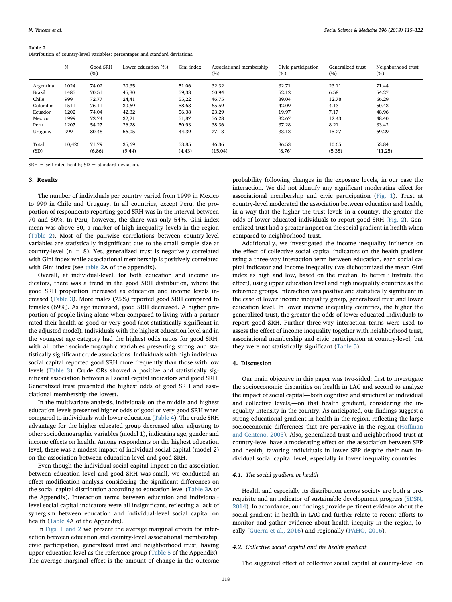<span id="page-3-0"></span>Distribution of country-level variables: percentages and standard deviations.

|           | N      | Good SRH<br>(%) | Lower education (%) | Gini index | Associational membership<br>(%) | Civic participation<br>(%) | Generalized trust<br>(%) | Neighborhood trust<br>(%) |
|-----------|--------|-----------------|---------------------|------------|---------------------------------|----------------------------|--------------------------|---------------------------|
| Argentina | 1024   | 74.02           | 30,35               | 51,06      | 32.32                           | 32.71                      | 23.11                    | 71.44                     |
| Brazil    | 1485   | 70.51           | 45,30               | 59,33      | 60.94                           | 52.12                      | 6.58                     | 54.27                     |
| Chile     | 999    | 72.77           | 24,41               | 55,22      | 46.75                           | 39.04                      | 12.78                    | 66.29                     |
| Colombia  | 1511   | 76.11           | 30,69               | 58,68      | 65.59                           | 42.09                      | 4.13                     | 50.43                     |
| Ecuador   | 1202   | 74.04           | 42,32               | 56,38      | 23.29                           | 19.97                      | 7.17                     | 48.96                     |
| Mexico    | 1999   | 72.74           | 32,21               | 51,87      | 56.28                           | 32.67                      | 12.43                    | 48.40                     |
| Peru      | 1207   | 54.27           | 26,28               | 50,93      | 38.36                           | 37.28                      | 8.21                     | 33.42                     |
| Uruguay   | 999    | 80.48           | 56,05               | 44,39      | 27.13                           | 33.13                      | 15.27                    | 69.29                     |
| Total     | 10,426 | 71.79           | 35,69               | 53.85      | 46.36                           | 36.53                      | 10.65                    | 53.84                     |
| (SD)      |        | (6.86)          | (9, 44)             | (4.43)     | (15.04)                         | (8.76)                     | (5.38)                   | (11.25)                   |

 $SRH = self-rated health: SD = standard deviation$ .

#### 3. Results

The number of individuals per country varied from 1999 in Mexico to 999 in Chile and Uruguay. In all countries, except Peru, the proportion of respondents reporting good SRH was in the interval between 70 and 80%. In Peru, however, the share was only 54%. Gini index mean was above 50, a marker of high inequality levels in the region ([Table 2](#page-3-0)). Most of the pairwise correlations between country-level variables are statistically insignificant due to the small sample size at country-level ( $n = 8$ ). Yet, generalized trust is negatively correlated with Gini index while associational membership is positively correlated with Gini index (see table 2A of the appendix).

Overall, at individual-level, for both education and income indicators, there was a trend in the good SRH distribution, where the good SRH proportion increased as education and income levels increased ([Table 3](#page-4-0)). More males (75%) reported good SRH compared to females (69%). As age increased, good SRH decreased. A higher proportion of people living alone when compared to living with a partner rated their health as good or very good (not statistically significant in the adjusted model). Individuals with the highest education level and in the youngest age category had the highest odds ratios for good SRH, with all other sociodemographic variables presenting strong and statistically significant crude associations. Individuals with high individual social capital reported good SRH more frequently than those with low levels ([Table 3\)](#page-4-0). Crude ORs showed a positive and statistically significant association between all social capital indicators and good SRH. Generalized trust presented the highest odds of good SRH and associational membership the lowest.

In the multivariate analysis, individuals on the middle and highest education levels presented higher odds of good or very good SRH when compared to individuals with lower education ([Table 4](#page-4-1)). The crude SRH advantage for the higher educated group decreased after adjusting to other sociodemographic variables (model 1), indicating age, gender and income effects on health. Among respondents on the highest education level, there was a modest impact of individual social capital (model 2) on the association between education level and good SRH.

Even though the individual social capital impact on the association between education level and good SRH was small, we conducted an effect modification analysis considering the significant differences on the social capital distribution according to education level (Table 3A of the Appendix). Interaction terms between education and individuallevel social capital indicators were all insignificant, reflecting a lack of synergism between education and individual-level social capital on health (Table 4A of the Appendix).

In [Figs. 1 and 2](#page-4-2) we present the average marginal effects for interaction between education and country-level associational membership, civic participation, generalized trust and neighborhood trust, having upper education level as the reference group (Table 5 of the Appendix). The average marginal effect is the amount of change in the outcome

probability following changes in the exposure levels, in our case the interaction. We did not identify any significant moderating effect for associational membership and civic participation [\(Fig. 1](#page-4-2)). Trust at country-level moderated the association between education and health, in a way that the higher the trust levels in a country, the greater the odds of lower educated individuals to report good SRH [\(Fig. 2\)](#page-4-3). Generalized trust had a greater impact on the social gradient in health when compared to neighborhood trust.

Additionally, we investigated the income inequality influence on the effect of collective social capital indicators on the health gradient using a three-way interaction term between education, each social capital indicator and income inequality (we dichotomized the mean Gini index as high and low, based on the median, to better illustrate the effect), using upper education level and high inequality countries as the reference groups. Interaction was positive and statistically significant in the case of lower income inequality group, generalized trust and lower education level. In lower income inequality countries, the higher the generalized trust, the greater the odds of lower educated individuals to report good SRH. Further three-way interaction terms were used to assess the effect of income inequality together with neighborhood trust, associational membership and civic participation at country-level, but they were not statistically significant ([Table 5](#page-5-0)).

## 4. Discussion

Our main objective in this paper was two-sided: first to investigate the socioeconomic disparities on health in LAC and second to analyze the impact of social capital—both cognitive and structural at individual and collective levels,—on that health gradient, considering the inequality intensity in the country. As anticipated, our findings suggest a strong educational gradient in health in the region, reflecting the large socioeconomic differences that are pervasive in the region (Hoff[man](#page-7-24) [and Centeno, 2003](#page-7-24)). Also, generalized trust and neighborhood trust at country-level have a moderating effect on the association between SEP and health, favoring individuals in lower SEP despite their own individual social capital level, especially in lower inequality countries.

## 4.1. The social gradient in health

Health and especially its distribution across society are both a prerequisite and an indicator of sustainable development progress ([SDSN,](#page-7-25) [2014\)](#page-7-25). In accordance, our findings provide pertinent evidence about the social gradient in health in LAC and further relate to recent efforts to monitor and gather evidence about health inequity in the region, locally ([Guerra et al., 2016\)](#page-7-26) and regionally [\(PAHO, 2016\)](#page-7-2).

### 4.2. Collective social capital and the health gradient

The suggested effect of collective social capital at country-level on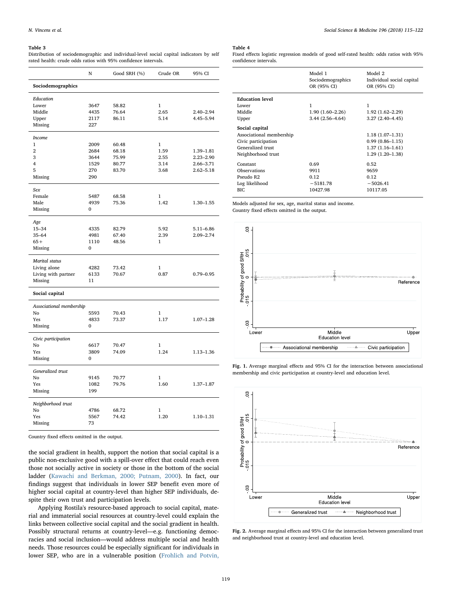<span id="page-4-0"></span>Distribution of sociodemographic and individual-level social capital indicators by self rated health: crude odds ratios with 95% confidence intervals.

|                          | N    | Good SRH (%) | Crude OR     | 95% CI        |
|--------------------------|------|--------------|--------------|---------------|
| Sociodemographics        |      |              |              |               |
| Education                |      |              |              |               |
| Lower                    | 3647 | 58.82        | 1            |               |
| Middle                   | 4435 | 76.64        | 2.65         | $2.40 - 2.94$ |
| Upper                    | 2117 | 86.11        | 5.14         | 4.45-5.94     |
| Missing                  | 227  |              |              |               |
| <b>Income</b>            |      |              |              |               |
| 1                        | 2009 | 60.48        | 1            |               |
| $\overline{2}$           | 2684 | 68.18        | 1.59         | 1.39-1.81     |
| 3                        | 3644 | 75.99        | 2.55         | $2.23 - 2.90$ |
| 4                        | 1529 | 80.77        | 3.14         | 2.66-3.71     |
| 5                        | 270  | 83.70        | 3.68         | $2.62 - 5.18$ |
| Missing                  | 290  |              |              |               |
| Sex                      |      |              |              |               |
| Female                   | 5487 | 68.58        | 1            |               |
| Male                     | 4939 | 75.36        | 1.42         | $1.30 - 1.55$ |
| Missing                  | 0    |              |              |               |
| Age                      |      |              |              |               |
| $15 - 34$                | 4335 | 82.79        | 5.92         | $5.11 - 6.86$ |
| $35 - 64$                | 4981 | 67.40        | 2.39         | 2.09-2.74     |
| $65+$                    | 1110 | 48.56        | $\mathbf{1}$ |               |
| Missing                  | 0    |              |              |               |
| <b>Marital</b> status    |      |              |              |               |
| Living alone             | 4282 | 73.42        | 1            |               |
| Living with partner      | 6133 | 70.67        | 0.87         | $0.79 - 0.95$ |
| Missing                  | 11   |              |              |               |
| Social capital           |      |              |              |               |
| Associational membership |      |              |              |               |
| No                       | 5593 | 70.43        | 1            |               |
| Yes                      | 4833 | 73.37        | 1.17         | $1.07 - 1.28$ |
| Missing                  | 0    |              |              |               |
| Civic participation      |      |              |              |               |
| No                       | 6617 | 70.47        | 1            |               |
| Yes                      | 3809 | 74.09        | 1.24         | 1.13-1.36     |
| Missing                  | 0    |              |              |               |
| Generalized trust        |      |              |              |               |
| No                       | 9145 | 70.77        | 1            |               |
| Yes                      | 1082 | 79.76        | 1.60         | 1.37-1.87     |
| Missing                  | 199  |              |              |               |
| Neighborhood trust       |      |              |              |               |
| No                       | 4786 | 68.72        | 1            |               |
| Yes                      | 5567 | 74.42        | 1.20         | 1.10-1.31     |
| Missing                  | 73   |              |              |               |

Country fixed effects omitted in the output.

the social gradient in health, support the notion that social capital is a public non-exclusive good with a spill-over effect that could reach even those not socially active in society or those in the bottom of the social ladder ([Kawachi and Berkman, 2000; Putnam, 2000](#page-7-27)). In fact, our findings suggest that individuals in lower SEP benefit even more of higher social capital at country-level than higher SEP individuals, despite their own trust and participation levels.

Applying Rostila's resource-based approach to social capital, material and immaterial social resources at country-level could explain the links between collective social capital and the social gradient in health. Possibly structural returns at country-level—e.g. functioning democracies and social inclusion—would address multiple social and health needs. Those resources could be especially significant for individuals in lower SEP, who are in a vulnerable position ([Frohlich and Potvin,](#page-6-12)

## <span id="page-4-1"></span>Table 4

Fixed effects logistic regression models of good self-rated health: odds ratios with 95% confidence intervals.

|                          | Model 1<br>Sociodemographics<br>OR (95% CI) | Model 2<br>Individual social capital<br>OR (95% CI) |  |
|--------------------------|---------------------------------------------|-----------------------------------------------------|--|
| <b>Education level</b>   |                                             |                                                     |  |
| Lower                    | 1                                           | 1                                                   |  |
| Middle                   | $1.90(1.60 - 2.26)$                         | $1.92(1.62 - 2.29)$                                 |  |
| Upper                    | $3.44(2.56 - 4.64)$                         | $3.27(2.40-4.45)$                                   |  |
| Social capital           |                                             |                                                     |  |
| Associational membership |                                             | $1.18(1.07-1.31)$                                   |  |
| Civic participation      |                                             | $0.99(0.86 - 1.15)$                                 |  |
| Generalized trust        |                                             | $1.37(1.16-1.61)$                                   |  |
| Neighborhood trust       |                                             | $1.29(1.20-1.38)$                                   |  |
| Constant                 | 0.69                                        | 0.52                                                |  |
| Observations             | 9911                                        | 9659                                                |  |
| Pseudo R2                | 0.12                                        | 0.12                                                |  |
| Log likelihood           | $-5181.78$                                  | $-5026.41$                                          |  |
| BIC                      | 10427.98                                    | 10117.05                                            |  |

Models adjusted for sex, age, marital status and income.

Country fixed effects omitted in the output.

<span id="page-4-2"></span>

Fig. 1. Average marginal effects and 95% CI for the interaction between associational membership and civic participation at country-level and education level.

<span id="page-4-3"></span>

Fig. 2. Average marginal effects and 95% CI for the interaction between generalized trust and neighborhood trust at country-level and education level.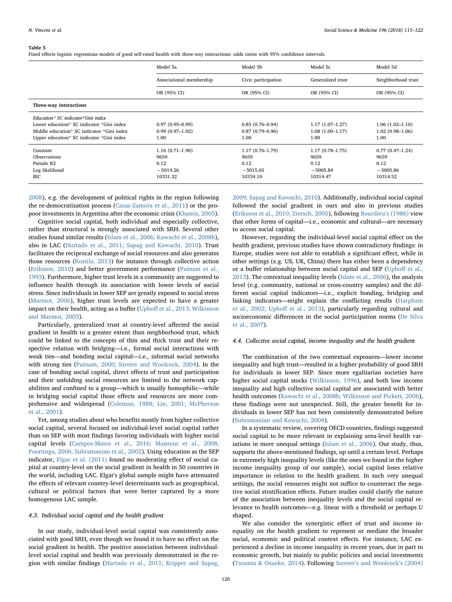<span id="page-5-0"></span>Fixed effects logistic regressions models of good self-rated health with three-way interactions: odds ratios with 95% confidence intervals.

|                                                                                                                                                                            | Model 5a                                                      | Model 5b                                                      | Model 5c                                                      | Model 5d                                                    |
|----------------------------------------------------------------------------------------------------------------------------------------------------------------------------|---------------------------------------------------------------|---------------------------------------------------------------|---------------------------------------------------------------|-------------------------------------------------------------|
|                                                                                                                                                                            | Associational membership                                      | Civic participation                                           | Generalized trust                                             | Neighborhood trust                                          |
|                                                                                                                                                                            | OR (95% CI)                                                   | OR (95% CI)                                                   | OR (95% CI)                                                   | OR (95% CI)                                                 |
| Three-way interactions                                                                                                                                                     |                                                               |                                                               |                                                               |                                                             |
| Education* SC indicator*Gini index<br>Lower education* SC indicator *Gini index<br>Middle education* SC indicator *Gini index<br>Upper education* SC indicator *Gini index | $0.97(0.95-0.99)$<br>$0.99(0.97-1.02)$<br>1.00                | $0.85(0.76 - 0.94)$<br>$0.87(0.79 - 0.96)$<br>1.00            | $1.17(1.07-1.27)$<br>$1.08(1.00-1.17)$<br>1.00                | $1.06(1.02 - 1.10)$<br>$1.02(0.98 - 1.06)$<br>1.00          |
| Constant<br><b>Observations</b><br>Pseudo R2<br>Log likelihood<br>BIC                                                                                                      | $1.16(0.71 - 1.90)$<br>9659<br>0.12<br>$-5014.26$<br>10331.32 | $1.17(0.76 - 1.79)$<br>9659<br>0.12<br>$-5015.65$<br>10334.10 | $1.17(0.78 - 1.75)$<br>9659<br>0.12<br>$-5005.84$<br>10314.47 | $0.77(0.47-1.24)$<br>9659<br>0.12<br>$-5005.86$<br>10314.52 |

[2008\)](#page-6-12), e.g. the development of political rights in the region following the re-democratization process [\(Casas-Zamora et al., 2011\)](#page-6-13) or the propoor investments in Argentina after the economic crisis [\(Khamis, 2005](#page-7-28)).

Cognitive social capital, both individual and especially collective, rather than structural is strongly associated with SRH. Several other studies found similar results ([Islam et al., 2006; Kawachi et al., 2008b](#page-7-17)), also in LAC [\(Hurtado et al., 2011; Sapag and Kawachi, 2010\)](#page-7-14). Trust facilitates the reciprocal exchange of social resources and also generates those resources ([Rostila, 2013\)](#page-7-6) for instance through collective action ([Eriksson, 2010\)](#page-6-5) and better government performance [\(Putnam et al.,](#page-7-7) [1993\)](#page-7-7). Furthermore, higher trust levels in a community are suggested to influence health through its association with lower levels of social stress. Since individuals in lower SEP are greatly exposed to social stress ([Marmot, 2006\)](#page-7-11), higher trust levels are expected to have a greater impact on their health, acting as a buffer (Uphoff [et al., 2013; Wilkinson](#page-7-15) [and Marmot, 2003](#page-7-15)).

Particularly, generalized trust at country-level affected the social gradient in health to a greater extent than neighborhood trust, which could be linked to the concepts of thin and thick trust and their respective relation with bridging—i.e., formal social interactions with weak ties—and bonding social capital—i.e., informal social networks with strong ties ([Putnam, 2000; Szreter and Woolcock, 2004\)](#page-7-9). In the case of bonding social capital, direct effects of trust and participation and their unfolding social resources are limited to the network capabilities and confined to a group—which is usually homophilic—while in bridging social capital those effects and resources are more comprehensive and widespread [\(Coleman, 1988; Lin, 2001; McPherson](#page-6-14) [et al., 2001](#page-6-14)).

Yet, among studies about who benefits mostly from higher collective social capital, several focused on individual-level social capital rather than on SEP with most findings favoring individuals with higher social capital levels ([Campos-Matos et al., 2016; Mansyur et al., 2008;](#page-6-9) [Poortinga, 2006; Subramanian et al., 2002\)](#page-6-9). Using education as the SEP indicator, [Elgar et al. \(2011\)](#page-6-15) found no moderating effect of social capital at country-level on the social gradient in health in 50 countries in the world, including LAC. Elgar's global sample might have attenuated the effects of relevant country-level determinants such as geographical, cultural or political factors that were better captured by a more homogenous LAC sample.

## 4.3. Individual social capital and the health gradient

In our study, individual-level social capital was consistently associated with good SRH, even though we found it to have no effect on the social gradient in health. The positive association between individuallevel social capital and health was previously demonstrated in the region with similar findings [\(Hurtado et al., 2011; Kripper and Sapag,](#page-7-14)

[2009; Sapag and Kawachi, 2010\)](#page-7-14). Additionally, individual social capital followed the social gradient in ours and also in previous studies ([Eriksson et al., 2010; Ziersch, 2005\)](#page-6-16), following [Bourdieu](#page-6-4)'s (1986) view that other forms of capital—i.e., economic and cultural—are necessary to access social capital.

However, regarding the individual-level social capital effect on the health gradient, previous studies have shown contradictory findings: in Europe, studies were not able to establish a significant effect, while in other settings (e.g. US, UK, China) there has either been a dependency or a buffer relationship between social capital and SEP (Uphoff [et al.,](#page-7-15) [2013\)](#page-7-15). The contextual inequality levels ([Islam et al., 2006](#page-7-17)), the analysis level (e.g. community, national or cross-country samples) and the different social capital indicators—i.e., explicit bonding, bridging and linking indicators—might explain the conflicting results ([Harpham](#page-7-8) [et al., 2002; Upho](#page-7-8)ff et al., 2013), particularly regarding cultural and socioeconomic differences in the social participation norms ([De Silva](#page-6-17) [et al., 2007](#page-6-17)).

## 4.4. Collective social capital, income inequality and the health gradient

The combination of the two contextual exposures—lower income inequality and high trust—resulted in a higher probability of good SRH for individuals in lower SEP. Since more egalitarian societies have higher social capital stocks ([Wilkinson, 1996\)](#page-7-29), and both low income inequality and high collective social capital are associated with better health outcomes [\(Kawachi et al., 2008b; Wilkinson and Pickett, 2006](#page-7-12)), these findings were not unexpected. Still, the greater benefit for individuals in lower SEP has not been consistently demonstrated before ([Subramanian and Kawachi, 2004\)](#page-7-4).

In a systematic review, covering OECD countries, findings suggested social capital to be more relevant in explaining area-level health variations in more unequal settings [\(Islam et al., 2006](#page-7-17)). Our study, thus, supports the above-mentioned findings, up until a certain level. Perhaps in extremely high inequality levels (like the ones we found in the higher income inequality group of our sample), social capital loses relative importance in relation to the health gradient. In such very unequal settings, the social resources might not suffice to counteract the negative social stratification effects. Future studies could clarify the nature of the association between inequality levels and the social capital relevance to health outcomes—e.g. linear with a threshold or perhaps U shaped.

We also consider the synergistic effect of trust and income inequality on the health gradient to represent or mediate the broader social, economic and political context effects. For instance, LAC experienced a decline in income inequality in recent years, due in part to economic growth, but mainly to public policies and social investments ([Tsounta & Osueke, 2014](#page-7-3)). Following Szreter'[s and Woolcock](#page-7-20)'s (2004)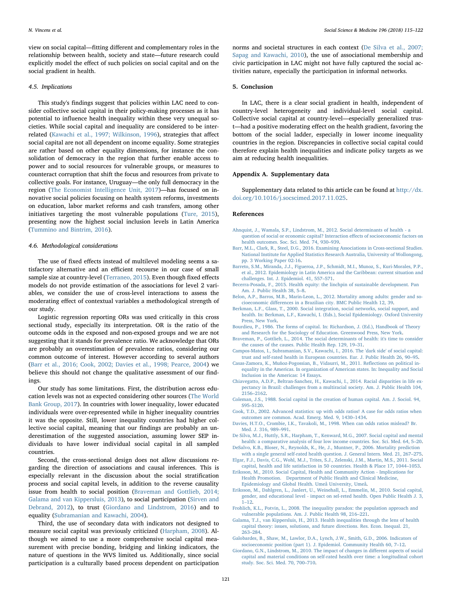view on social capital—fitting different and complementary roles in the relationship between health, society and state—future research could explicitly model the effect of such policies on social capital and on the social gradient in health.

### 4.5. Implications

This study's findings suggest that policies within LAC need to consider collective social capital in their policy-making processes as it has potential to influence health inequality within these very unequal societies. While social capital and inequality are considered to be interrelated [\(Kawachi et al., 1997; Wilkinson, 1996](#page-7-19)), strategies that affect social capital are not all dependent on income equality. Some strategies are rather based on other equality dimensions, for instance the consolidation of democracy in the region that further enable access to power and to social resources for vulnerable groups, or measures to counteract corruption that shift the focus and resources from private to collective goals. For instance, Uruguay—the only full democracy in the region ([The Economist Intelligence Unit, 2017](#page-7-30))—has focused on innovative social policies focusing on health system reforms, investments on education, labor market reforms and cash transfers, among other initiatives targeting the most vulnerable populations [\(Ture, 2015](#page-7-31)), presenting now the highest social inclusion levels in Latin America ([Tummino and Bintrim, 2016\)](#page-7-32).

### 4.6. Methodological considerations

The use of fixed effects instead of multilevel modeling seems a satisfactory alternative and an efficient recourse in our case of small sample size at country-level ([Terraneo, 2015](#page-7-23)). Even though fixed effects models do not provide estimation of the associations for level 2 variables, we consider the use of cross-level interactions to assess the moderating effect of contextual variables a methodological strength of our study.

Logistic regression reporting ORs was used critically in this cross sectional study, especially its interpretation. OR is the ratio of the outcome odds in the exposed and non-exposed groups and we are not suggesting that it stands for prevalence ratio. We acknowledge that ORs are probably an overestimation of prevalence ratios, considering our common outcome of interest. However according to several authors ([Barr et al., 2016; Cook, 2002; Davies et al., 1998; Pearce, 2004](#page-6-18)) we believe this should not change the qualitative assessment of our findings.

Our study has some limitations. First, the distribution across education levels was not as expected considering other sources [\(The World](#page-7-33) [Bank Group, 2017](#page-7-33)). In countries with lower inequality, lower educated individuals were over-represented while in higher inequality countries it was the opposite. Still, lower inequality countries had higher collective social capital, meaning that our findings are probably an underestimation of the suggested association, assuming lower SEP individuals to have lower individual social capital in all sampled countries.

Second, the cross-sectional design does not allow discussions regarding the direction of associations and causal inferences. This is especially relevant in the discussion about the social stratification process and social capital levels, in addition to the reverse causality issue from health to social position ([Braveman and Gottlieb, 2014;](#page-6-19) [Galama and van Kippersluis, 2013\)](#page-6-19), to social participation ([Sirven and](#page-7-34) [Debrand, 2012\)](#page-7-34), to trust [\(Giordano and Lindstrom, 2016\)](#page-7-35) and to equality ([Subramanian and Kawachi, 2004\)](#page-7-4).

Third, the use of secondary data with indicators not designed to measure social capital was previously criticized [\(Harpham, 2008](#page-7-36)). Although we aimed to use a more comprehensive social capital measurement with precise bonding, bridging and linking indicators, the nature of questions in the WVS limited us. Additionally, since social participation is a culturally based process dependent on participation

norms and societal structures in each context [\(De Silva et al., 2007;](#page-6-17) [Sapag and Kawachi, 2010\)](#page-6-17), the use of associational membership and civic participation in LAC might not have fully captured the social activities nature, especially the participation in informal networks.

## 5. Conclusion

In LAC, there is a clear social gradient in health, independent of country-level heterogeneity and individual-level social capital. Collective social capital at country-level—especially generalized trust—had a positive moderating effect on the health gradient, favoring the bottom of the social ladder, especially in lower income inequality countries in the region. Discrepancies in collective social capital could therefore explain health inequalities and indicate policy targets as we aim at reducing health inequalities.

## Appendix A. Supplementary data

Supplementary data related to this article can be found at  $\frac{http://dx.}{$  $\frac{http://dx.}{$  $\frac{http://dx.}{$ [doi.org/10.1016/j.socscimed.2017.11.025](http://dx.doi.org/10.1016/j.socscimed.2017.11.025).

#### References

- <span id="page-6-8"></span>[Ahnquist, J., Wamala, S.P., Lindstrom, M., 2012. Social determinants of health - a](http://refhub.elsevier.com/S0277-9536(17)30690-1/sref1) [question of social or economic capital? Interaction e](http://refhub.elsevier.com/S0277-9536(17)30690-1/sref1)ffects of socioeconomic factors on [health outcomes. Soc. Sci. Med. 74, 930](http://refhub.elsevier.com/S0277-9536(17)30690-1/sref1)–939.
- <span id="page-6-18"></span>[Barr, M.L., Clark, R., Steel, D.G., 2016. Examining Associations in Cross-sectional Studies.](http://refhub.elsevier.com/S0277-9536(17)30690-1/sref2) [National Institute for Applied Statistics Research Australia, University of Wollongong,](http://refhub.elsevier.com/S0277-9536(17)30690-1/sref2) [pp. 3 Working Paper 02-16](http://refhub.elsevier.com/S0277-9536(17)30690-1/sref2).
- <span id="page-6-1"></span>[Barreto, S.M., Miranda, J.J., Figueroa, J.P., Schmidt, M.I., Munoz, S., Kuri-Morales, P.P.,](http://refhub.elsevier.com/S0277-9536(17)30690-1/sref3) [et al., 2012. Epidemiology in Latin America and the Caribbean: current situation and](http://refhub.elsevier.com/S0277-9536(17)30690-1/sref3) [challenges. Int. J. Epidemiol. 41, 557](http://refhub.elsevier.com/S0277-9536(17)30690-1/sref3)–571.
- <span id="page-6-0"></span>[Becerra-Posada, F., 2015. Health equity: the linchpin of sustainable development. Pan](http://refhub.elsevier.com/S0277-9536(17)30690-1/sref4) [Am. J. Public Health 38, 5](http://refhub.elsevier.com/S0277-9536(17)30690-1/sref4)–8.
- <span id="page-6-2"></span>[Belon, A.P., Barros, M.B., Marin-Leon, L., 2012. Mortality among adults: gender and so](http://refhub.elsevier.com/S0277-9536(17)30690-1/sref5)cioeconomic diff[erences in a Brazilian city. BMC Public Health 12, 39](http://refhub.elsevier.com/S0277-9536(17)30690-1/sref5).
- <span id="page-6-6"></span>[Berkman, L.F., Glass, T., 2000. Social integration, social networks, social support, and](http://refhub.elsevier.com/S0277-9536(17)30690-1/sref6) [health. In: Berkman, L.F., Kawachi, I. \(Eds.\), Social Epidemiology. Oxford University](http://refhub.elsevier.com/S0277-9536(17)30690-1/sref6) [Press, New York](http://refhub.elsevier.com/S0277-9536(17)30690-1/sref6).
- <span id="page-6-4"></span>[Bourdieu, P., 1986. The forms of capital. In: Richardson, J. \(Ed.\), Handbook of Theory](http://refhub.elsevier.com/S0277-9536(17)30690-1/sref7) [and Research for the Sociology of Education. Greenwood Press, New York](http://refhub.elsevier.com/S0277-9536(17)30690-1/sref7).
- <span id="page-6-19"></span>[Braveman, P., Gottlieb, L., 2014. The social determinants of health: it's time to consider](http://refhub.elsevier.com/S0277-9536(17)30690-1/sref8) [the causes of the causes. Public Health Rep. 129, 19](http://refhub.elsevier.com/S0277-9536(17)30690-1/sref8)–31.
- <span id="page-6-9"></span>[Campos-Matos, I., Subramanian, S.V., Kawachi, I., 2016. The 'dark side' of social capital:](http://refhub.elsevier.com/S0277-9536(17)30690-1/sref9) [trust and self-rated health in European countries. Eur. J. Public Health 26, 90](http://refhub.elsevier.com/S0277-9536(17)30690-1/sref9)–95.
- <span id="page-6-13"></span>[Casas-Zamora, K., Muñoz-Pogossian, B., Vidaurri, M., 2011. Re](http://refhub.elsevier.com/S0277-9536(17)30690-1/sref10)flections on political in[equality in the Americas. In organization of American states. In: Inequality and Social](http://refhub.elsevier.com/S0277-9536(17)30690-1/sref10) [Inclusion in the Americas: 14 Essays](http://refhub.elsevier.com/S0277-9536(17)30690-1/sref10).
- <span id="page-6-3"></span>[Chiavegatto, A.D.P., Beltran-Sanchez, H., Kawachi, I., 2014. Racial disparities in life ex](http://refhub.elsevier.com/S0277-9536(17)30690-1/sref11)[pectancy in Brazil: challenges from a multiracial society. Am. J. Public Health 104,](http://refhub.elsevier.com/S0277-9536(17)30690-1/sref11) 2156–[2162](http://refhub.elsevier.com/S0277-9536(17)30690-1/sref11).
- <span id="page-6-14"></span>[Coleman, J.S., 1988. Social capital in the creation of human capital. Am. J. Sociol. 94,](http://refhub.elsevier.com/S0277-9536(17)30690-1/sref12) S95–[S120](http://refhub.elsevier.com/S0277-9536(17)30690-1/sref12).
- [Cook, T.D., 2002. Advanced statistics: up with odds ratios! A case for odds ratios when](http://refhub.elsevier.com/S0277-9536(17)30690-1/sref13)
- [outcomes are common. Acad. Emerg. Med. 9, 1430](http://refhub.elsevier.com/S0277-9536(17)30690-1/sref13)–1434. [Davies, H.T.O., Crombie, I.K., Tavakoli, M., 1998. When can odds ratios mislead? Br.](http://refhub.elsevier.com/S0277-9536(17)30690-1/sref14) [Med. J. 316, 989](http://refhub.elsevier.com/S0277-9536(17)30690-1/sref14)–991.
- <span id="page-6-17"></span>[De Silva, M.J., Huttly, S.R., Harpham, T., Kenward, M.G., 2007. Social capital and mental](http://refhub.elsevier.com/S0277-9536(17)30690-1/sref15) [health: a comparative analysis of four low income countries. Soc. Sci. Med. 64, 5](http://refhub.elsevier.com/S0277-9536(17)30690-1/sref15)–20.
- <span id="page-6-10"></span>[DeSalvo, K.B., Bloser, N., Reynolds, K., He, J., Muntner, P., 2006. Mortality prediction](http://refhub.elsevier.com/S0277-9536(17)30690-1/sref16) [with a single general self-rated health question. J. General Intern. Med. 21, 267](http://refhub.elsevier.com/S0277-9536(17)30690-1/sref16)–275.
- <span id="page-6-15"></span>[Elgar, F.J., Davis, C.G., Wohl, M.J., Trites, S.J., Zelenski, J.M., Martin, M.S., 2011. Social](http://refhub.elsevier.com/S0277-9536(17)30690-1/sref17) [capital, health and life satisfaction in 50 countries. Health & Place 17, 1044](http://refhub.elsevier.com/S0277-9536(17)30690-1/sref17)–1053.
- <span id="page-6-5"></span>[Eriksson, M., 2010. Social Capital, Health and Community Action - Implications for](http://refhub.elsevier.com/S0277-9536(17)30690-1/sref18) [Health Promotion. Department of Public Health and Clinical Medicine,](http://refhub.elsevier.com/S0277-9536(17)30690-1/sref18) [Epidemiology and Global Health. Umeå University, Umeå](http://refhub.elsevier.com/S0277-9536(17)30690-1/sref18).
- <span id="page-6-16"></span>[Eriksson, M., Dahlgren, L., Janlert, U., Weinehall, L., Emmelin, M., 2010. Social capital,](http://refhub.elsevier.com/S0277-9536(17)30690-1/sref19) [gender, and educational level - impact on sel-reted health. Open Public Health J. 3,](http://refhub.elsevier.com/S0277-9536(17)30690-1/sref19)  $1 - 12$ .
- <span id="page-6-12"></span>[Frohlich, K.L., Potvin, L., 2008. The inequality paradox: the population approach and](http://refhub.elsevier.com/S0277-9536(17)30690-1/sref20) [vulnerable populations. Am. J. Public Health 98, 216](http://refhub.elsevier.com/S0277-9536(17)30690-1/sref20)–221.
- Galama, [T.J., van Kippersluis, H., 2013. Health inequalities through the lens of health](http://refhub.elsevier.com/S0277-9536(17)30690-1/sref21) [capital theory: issues, solutions, and future directions. Res. Econ. Inequal. 21,](http://refhub.elsevier.com/S0277-9536(17)30690-1/sref21) 263–[284](http://refhub.elsevier.com/S0277-9536(17)30690-1/sref21).
- <span id="page-6-11"></span>[Galobardes, B., Shaw, M., Lawlor, D.A., Lynch, J.W., Smith, G.D., 2006. Indicators of](http://refhub.elsevier.com/S0277-9536(17)30690-1/sref22) [socioeconomic position \(part 1\). J. Epidemiol. Community Health 60, 7](http://refhub.elsevier.com/S0277-9536(17)30690-1/sref22)–12.
- <span id="page-6-7"></span>[Giordano, G.N., Lindstrom, M., 2010. The impact of changes in di](http://refhub.elsevier.com/S0277-9536(17)30690-1/sref23)fferent aspects of social [capital and material conditions on self-rated health over time: a longitudinal cohort](http://refhub.elsevier.com/S0277-9536(17)30690-1/sref23) [study. Soc. Sci. Med. 70, 700](http://refhub.elsevier.com/S0277-9536(17)30690-1/sref23)–710.